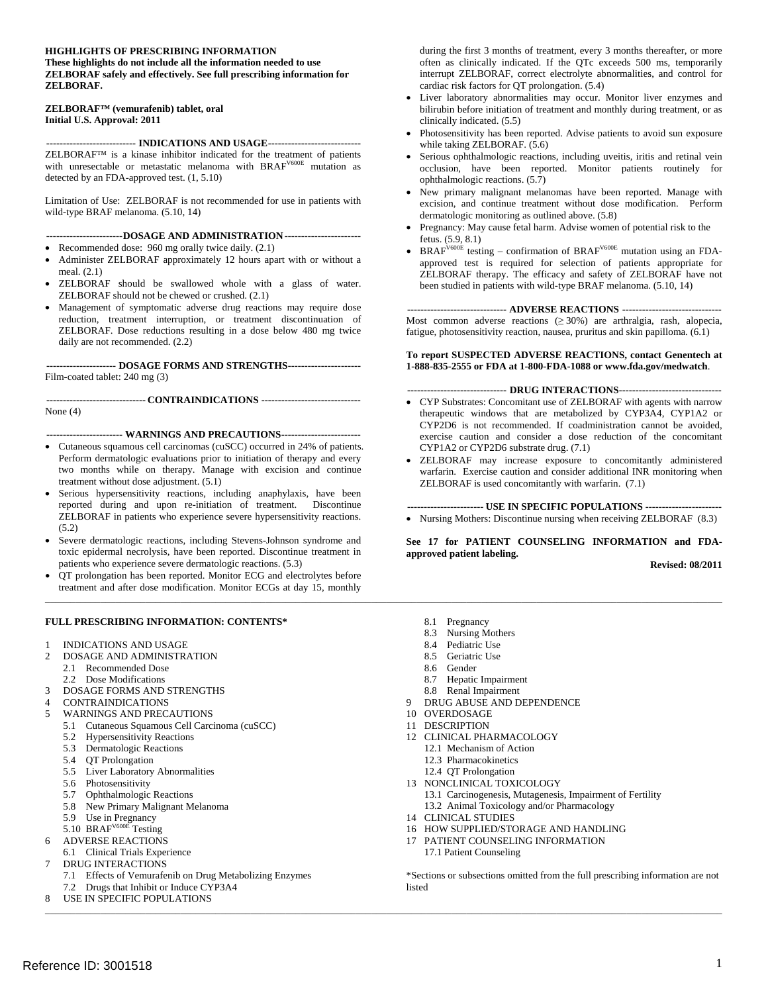#### **HIGHLIGHTS OF PRESCRIBING INFORMATION**

#### **These highlights do not include all the information needed to use ZELBORAF safely and effectively. See full prescribing information for ZELBORAF.**

#### **ZELBORAF™ (vemurafenib) tablet, oral Initial U.S. Approval: 2011**

**--------------------------- INDICATIONS AND USAGE---------------------------** ZELBORAF™ is a kinase inhibitor indicated for the treatment of patients with unresectable or metastatic melanoma with BRAF<sup>V600E</sup> mutation as detected by an FDA-approved test. [\(1](#page-1-0), [5.10](#page-3-0))

Limitation of Use: ZELBORAF is not recommended for use in patients with wild-type BRAF melanoma. [\(5.10,](#page-3-0) [14\)](#page-10-0)

**-----------------------DOSAGE AND ADMINISTRATION ----------------------**

- Recommended dose: 960 mg orally twice daily.  $(2.1)$  $(2.1)$
- Administer ZELBORAF approximately 12 hours apart with or without a meal. ([2.1\)](#page-1-0)
- • ZELBORAF should be swallowed whole [wit](#page-1-0)h a glass of water. ZELBORAF should not be chewed or crushed. ([2.1\)](#page-1-0)
- • Management of symptomatic adverse drug reactions may require dose reduction, treatment interruption, or treatment discontinuation of ZELBORAF. Dose reductions resulting in a dose below 480 mg twice daily are not recommended. ([2.2\)](#page-1-0)

**--------------------- DOSAGE FORMS AND STRENGTHS---------------------** Film-coated tablet: 240 mg ([3](#page-1-0))

**------------------------------ CONTRAINDICATIONS -----------------------------** None ([4\)](#page-1-0)

**----------------------- WARNINGS AND PRECAUTIONS-----------------------**

- • Cutaneous squamous cell carcinomas (cuSCC) occurred in 24% of patients. Perform dermatologic evaluations prior to initiation of therapy and every two months while on therapy. Manage with excision and continue treatment without dose adjustment. ([5.1\)](#page-1-0)
- Serious hypersensitivity reactions, including anaphylaxis, have been reported during and upon re-initiation of treatment. Discontinue ZELBORAF in patients who experience severe hypersensitivity reactions. [\(5.2](#page-2-0))
- Severe dermatologic reactions, including Stevens-Johnson syndrome and toxic epidermal necrolysis, have been reported. Discontinue treatment in patients who experience severe dermatologic reactions. [\(5.3](#page-2-0))
- $\_$  , and the state of the state of the state of the state of the state of the state of the state of the state of the state of the state of the state of the state of the state of the state of the state of the state of the QT prolongation has been reported. Monitor ECG and electrolytes before treatment and after dose modification. Monitor ECGs at day 15, monthly

#### **FULL PRESCRIBING INFORMATION: CONTENTS\***

- 1 INDICATIONS AND USAGE
- 2 DOSAGE AND ADMINISTRATION
	- 2.1 Recommended Dose
	- 2.2 Dose Modifications
- 3 DOSAGE FORMS AND STRENGTHS
- 4 CONTRAINDICATIONS
- 5 WARNINGS AND PRECAUTIONS
	- 5.1 Cutaneous Squamous Cell Carcinoma (cuSCC)
	- 5.2 Hypersensitivity Reactions
	- 5.3 Dermatologic Reactions
	- 5.4 QT Prolongation
	- 5.5 Liver Laboratory Abnormalities
	- 5.6 Photosensitivity
	- 5.7 Ophthalmologic Reactions
	- 5.8 New Primary Malignant Melanoma
	- 5.9 Use in Pregnancy
	- 5.10 BRAF<sup>V600E</sup> Testing
	- 6 ADVERSE REACTIONS
- 6.1 Clinical Trials Experience
- 7 DRUG INTERACTIONS
	-
- 7.2 Drugs that Inhibit or Induce CYP3A4 listed
- \_\_\_\_\_\_\_\_\_\_\_\_\_\_\_\_\_\_\_\_\_\_\_\_\_\_\_\_\_\_\_\_\_\_\_\_\_\_\_\_\_\_\_\_\_\_\_\_\_\_\_\_\_\_\_\_\_\_\_\_\_\_\_\_\_\_\_\_\_\_\_\_\_\_\_\_\_\_\_\_\_\_\_\_\_\_\_\_\_\_\_\_\_\_\_\_\_\_\_\_\_\_\_\_\_\_\_\_\_\_\_\_\_\_\_\_\_\_\_\_\_\_\_\_\_\_\_\_\_\_\_\_\_\_\_ USE IN SPECIFIC POPULATIONS 8

during the first 3 months of treatment, every 3 months thereafter, or more often as clinically indicated. If the QTc exceeds 500 ms, temporarily interrupt ZELBORAF, correct electrolyte abnormalities, and control for cardiac risk factors for QT prolongation. [\(5.4](#page-2-0))

- • Liver laboratory abnormalities may occur. Monitor liver enzymes and bilirubin before initiation of treatment and monthly during treatment, or as clinically indicated. [\(5.5](#page-2-0))
- Photosensitivity has been reported. Advise patients to avoid sun exposure while taking ZELBORAF. [\(5.6\)](#page-2-0)
- Serious ophthalmologic reactions, including uveitis, iritis and retinal vein occlusion, have been reported. Monitor patients routinely for ophthalmologic reactions. ([5.7\)](#page-3-0)
- New primary malignant melanomas have been reported. Manage with excision, and continue treatment without dose modification. Perform dermatologic monitoring as outlined above. [\(5.8](#page-3-0))
- Pregnancy: May cause fetal harm. Advise women of potential risk to the fetus. [\(5.9](#page-3-0), [8.1](#page-6-0))
- BRAF<sup>V600E</sup> testing confirmation of BRAF<sup>V600E</sup> mutation using an FDAapproved test is required for selection of patients appropriate for ZELBORAF therapy. The efficacy and safety of ZELBORAF have not been studied in patients with wild-type BRAF melanoma. ([5.10,](#page-3-0) [14\)](#page-10-0)

**------------------------------ ADVERSE REACTIONS -----------------------------** Most common adverse reactions  $(≥ 30%)$  are arthralgia, rash, alopecia, fatigue, photosensitivity reaction, nausea, pruritus and skin papilloma. [\(6.1](#page-3-0))

#### **To report SUSPECTED ADVERSE REACTIONS, contact Genentech at 1-888-835-2555 or FDA at 1-800-FDA-1088 or www.fda.gov/medwatch**.

#### **------------------------------ DRUG INTERACTIONS------------------------------**

- CYP Substrates: Concomitant use of ZELBORAF with agents with narrow therapeutic windows that are metabolized by CYP3A4, CYP1A2 or CYP2D6 is not recommended. If coadministration cannot be avoided, exercise caution and consider a dose reduction of the concomitant CYP1A2 or CYP2D6 substrate drug. ([7.1\)](#page-6-0)
- • ZELBORAF may increase exposure to concomitantly administered warfarin. Exercise caution and consider additional INR monitoring when ZELBORAF is used concomitantly with warfarin. ([7.1\)](#page-6-0)

#### **----------------------- USE IN SPECIFIC POPULATIONS ----------------------**

• Nursing Mothers: Discontinue nursing when receiving ZELBORAF [\(8.3](#page-6-0))

**See [17](#page-12-0) for PATIENT COUNSELING INFORMATION and FDAapproved patient labeling.** 

**Revised: 08/2011** 

- 8.1 Pregnancy
- 8.3 Nursing Mothers
- 8.4 Pediatric Use
- 8.5 Geriatric Use
- 8.6 Gender
- 8.7 Hepatic Impairment
- 8.8 Renal Impairment
- 9 DRUG ABUSE AND DEPENDENCE
- 10 OVERDOSAGE
- 11 DESCRIPTION
- 12 CLINICAL PHARMACOLOGY
	- 12.1 Mechanism of Action
	- 12.3 Pharmacokinetics
	- 12.4 QT Prolongation
- 13 NONCLINICAL TOXICOLOGY
- 13.1 Carcinogenesis, Mutagenesis, Impairment of Fertility
- 13.2 Animal Toxicology and/or Pharmacology
- 14 CLINICAL STUDIES
- 16 HOW SUPPLIED/STORAGE AND HANDLING
- 17 PATIENT COUNSELING INFORMATION 17.1 Patient Counseling

7.1 Effects of Vemurafenib on Drug Metabolizing Enzymes \*Sections or subsections omitted from the full prescribing information are not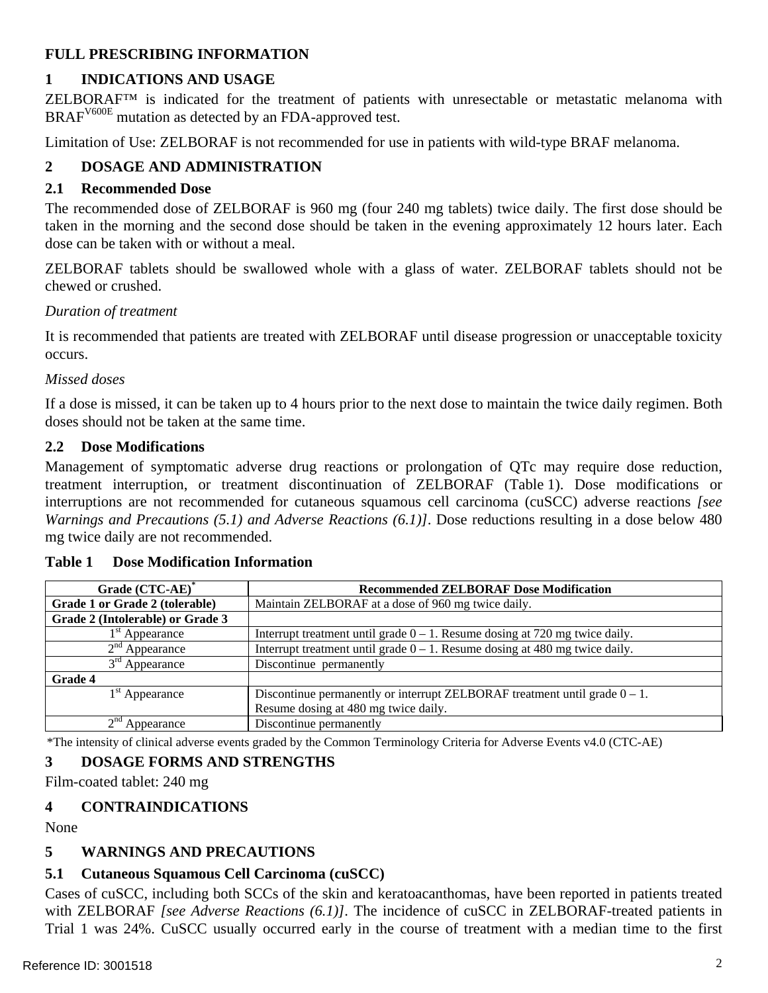## <span id="page-1-0"></span>**FULL PRESCRIBING INFORMATION**

## **1 INDICATIONS AND USAGE**

ZELBORAF™ is indicated for the treatment of patients with unresectable or metastatic melanoma with BRAF<sup>V600E</sup> mutation as detected by an FDA-approved test.

Limitation of Use: ZELBORAF is not recommended for use in patients with wild-type BRAF melanoma.

# **2 DOSAGE AND ADMINISTRATION**

## **2.1 Recommended Dose**

The recommended dose of ZELBORAF is 960 mg (four 240 mg tablets) twice daily. The first dose should be taken in the morning and the second dose should be taken in the evening approximately 12 hours later. Each dose can be taken with or without a meal.

ZELBORAF tablets should be swallowed whole with a glass of water. ZELBORAF tablets should not be chewed or crushed.

#### *Duration of treatment*

It is recommended that patients are treated with ZELBORAF until disease progression or unacceptable toxicity occurs.

#### *Missed doses*

If a dose is missed, it can be taken up to 4 hours prior to the next dose to maintain the twice daily regimen. Both doses should not be taken at the same time.

#### **2.2 Dose Modifications**

Management of symptomatic adverse drug reactions or prolongation of QTc may require dose reduction, treatment interruption, or treatment discontinuation of ZELBORAF [\(Table 1\)](#page-1-1). Dose modifications or interruptions are not recommended for cutaneous squamous cell carcinoma (cuSCC) adverse reactions *[see Warnings and Precautions [\(5.1](#page-1-0)) and Adverse Reactions [\(6.1](#page-3-0))]*. Dose reductions resulting in a dose below 480 mg twice daily are not recommended.

| Grade (CTC-AE)*                  | <b>Recommended ZELBORAF Dose Modification</b>                                  |  |  |  |
|----------------------------------|--------------------------------------------------------------------------------|--|--|--|
| Grade 1 or Grade 2 (tolerable)   | Maintain ZELBORAF at a dose of 960 mg twice daily.                             |  |  |  |
| Grade 2 (Intolerable) or Grade 3 |                                                                                |  |  |  |
| $1st$ Appearance                 | Interrupt treatment until grade $0 - 1$ . Resume dosing at 720 mg twice daily. |  |  |  |
| $2nd$ Appearance                 | Interrupt treatment until grade $0 - 1$ . Resume dosing at 480 mg twice daily. |  |  |  |
| $3rd$ Appearance                 | Discontinue permanently                                                        |  |  |  |
| <b>Grade 4</b>                   |                                                                                |  |  |  |
| $1st$ Appearance                 | Discontinue permanently or interrupt ZELBORAF treatment until grade $0 - 1$ .  |  |  |  |
|                                  | Resume dosing at 480 mg twice daily.                                           |  |  |  |
| Appearance                       | Discontinue permanently                                                        |  |  |  |

#### <span id="page-1-1"></span>**Table 1 Dose Modification Information**

\*The intensity of clinical adverse events graded by the Common Terminology Criteria for Adverse Events v4.0 (CTC-AE)

## **3 DOSAGE FORMS AND STRENGTHS**

Film-coated tablet: 240 mg

#### **4 CONTRAINDICATIONS**

None

## **5 WARNINGS AND PRECAUTIONS**

## **5.1 Cutaneous Squamous Cell Carcinoma (cuSCC)**

Cases of cuSCC, including both SCCs of the skin and keratoacanthomas, have been reported in patients treated with ZELBORAF *[see Adverse Reactions [\(6.1](#page-3-0))]*. The incidence of cuSCC in ZELBORAF-treated patients in Trial 1 was 24%. CuSCC usually occurred early in the course of treatment with a median time to the first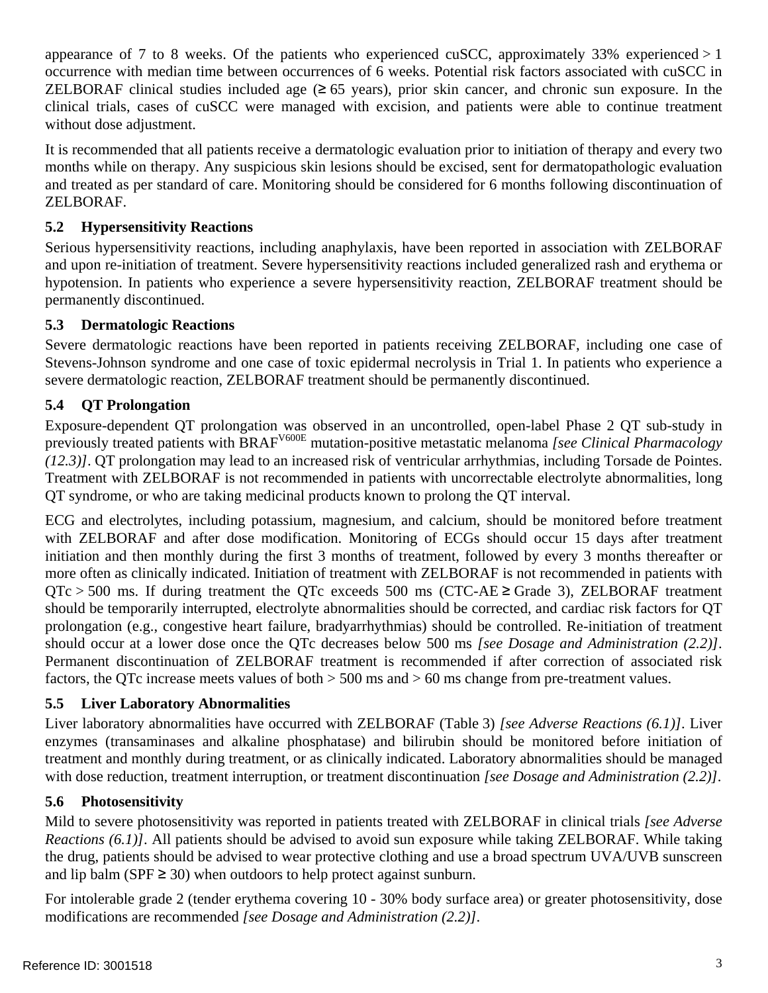<span id="page-2-0"></span>appearance of 7 to 8 weeks. Of the patients who experienced cuSCC, approximately 33% experienced  $>1$ occurrence with median time between occurrences of 6 weeks. Potential risk factors associated with cuSCC in ZELBORAF clinical studies included age  $(≥ 65 \text{ years})$ , prior skin cancer, and chronic sun exposure. In the clinical trials, cases of cuSCC were managed with excision, and patients were able to continue treatment without dose adjustment.

It is recommended that all patients receive a dermatologic evaluation prior to initiation of therapy and every two months while on therapy. Any suspicious skin lesions should be excised, sent for dermatopathologic evaluation and treated as per standard of care. Monitoring should be considered for 6 months following discontinuation of ZELBORAF.

## **5.2 Hypersensitivity Reactions**

Serious hypersensitivity reactions, including anaphylaxis, have been reported in association with ZELBORAF and upon re-initiation of treatment. Severe hypersensitivity reactions included generalized rash and erythema or hypotension. In patients who experience a severe hypersensitivity reaction, ZELBORAF treatment should be permanently discontinued.

#### **5.3 Dermatologic Reactions**

Severe dermatologic reactions have been reported in patients receiving ZELBORAF, including one case of Stevens-Johnson syndrome and one case of toxic epidermal necrolysis in Trial 1. In patients who experience a severe dermatologic reaction, ZELBORAF treatment should be permanently discontinued.

## **5.4 QT Prolongation**

Exposure-dependent QT prolongation was observed in an uncontrolled, open-label Phase 2 QT sub-study in previously treated patients with BRAFV600E mutation-positive metastatic melanoma *[see Clinical Pharmacology ([12.3](#page-10-0))]*. QT prolongation may lead to an increased risk of ventricular arrhythmias, including Torsade de Pointes. Treatment with ZELBORAF is not recommended in patients with uncorrectable electrolyte abnormalities, long QT syndrome, or who are taking medicinal products known to prolong the QT interval.

ECG and electrolytes, including potassium, magnesium, and calcium, should be monitored before treatment with ZELBORAF and after dose modification. Monitoring of ECGs should occur 15 days after treatment initiation and then monthly during the first 3 months of treatment, followed by every 3 months thereafter or more often as clinically indicated. Initiation of treatment with ZELBORAF is not recommended in patients with QTc > 500 ms. If during treatment the QTc exceeds 500 ms (CTC-AE  $\geq$  Grade 3), ZELBORAF treatment should be temporarily interrupted, electrolyte abnormalities should be corrected, and cardiac risk factors for QT prolongation (e.g., congestive heart failure, bradyarrhythmias) should be controlled. Re-initiation of treatment should occur at a lower dose once the QTc decreases below 500 ms *[see Dosage and Administration [\(2.2](#page-1-0))]*. Permanent discontinuation of ZELBORAF treatment is recommended if after correction of associated risk factors, the QTc increase meets values of both > 500 ms and > 60 ms change from pre-treatment values.

#### **5.5 Liver Laboratory Abnormalities**

Liver laboratory abnormalities have occurred with ZELBORAF ([Table 3\)](#page-6-1) *[see Adverse Reactions ([6.1\)](#page-3-0)]*. Liver enzymes (transaminases and alkaline phosphatase) and bilirubin should be monitored before initiation of treatment and monthly during treatment, or as clinically indicated. Laboratory abnormalities should be managed with dose reduction, treatment interruption, or treatment discontinuation *[see Dosage and Administration ([2.2\)](#page-1-0)]*.

#### **5.6 Photosensitivity**

Mild to severe photosensitivity was reported in patients treated with ZELBORAF in clinical trials *[see Adverse Reactions ([6.1\)](#page-3-0)]*. All patients should be advised to avoid sun exposure while taking ZELBORAF. While taking the drug, patients should be advised to wear protective clothing and use a broad spectrum UVA/UVB sunscreen and lip balm (SPF  $\geq$  30) when outdoors to help protect against sunburn.

For intolerable grade 2 (tender erythema covering 10 - 30% body surface area) or greater photosensitivity, dose modifications are recommended *[see Dosage and Administration [\(2.2](#page-1-0))]*.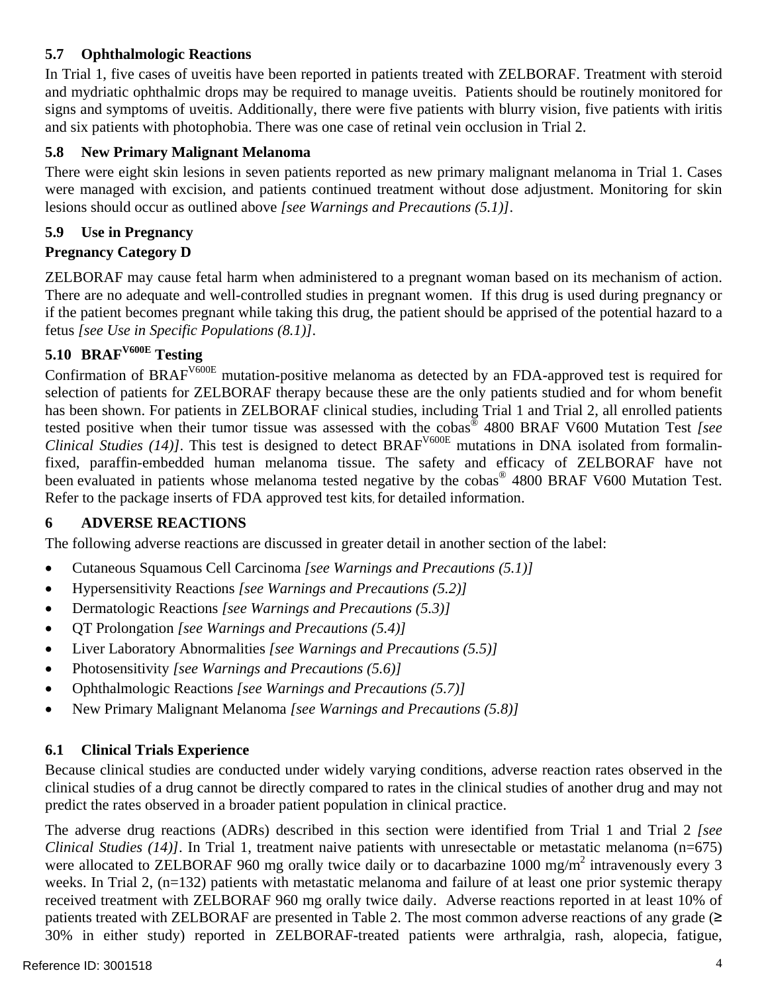## <span id="page-3-0"></span>**5.7 Ophthalmologic Reactions**

In Trial 1, five cases of uveitis have been reported in patients treated with ZELBORAF. Treatment with steroid and mydriatic ophthalmic drops may be required to manage uveitis. Patients should be routinely monitored for signs and symptoms of uveitis. Additionally, there were five patients with blurry vision, five patients with iritis and six patients with photophobia. There was one case of retinal vein occlusion in Trial 2.

## **5.8 New Primary Malignant Melanoma**

There were eight skin lesions in seven patients reported as new primary malignant melanoma in Trial 1. Cases were managed with excision, and patients continued treatment without dose adjustment. Monitoring for skin lesions should occur as outlined above *[see Warnings and Precautions ([5.1\)](#page-1-0)]*.

## **5.9 Use in Pregnancy**

## **Pregnancy Category D**

ZELBORAF may cause fetal harm when administered to a pregnant woman based on its mechanism of action. There are no adequate and well-controlled studies in pregnant women. If this drug is used during pregnancy or if the patient becomes pregnant while taking this drug, the patient should be apprised of the potential hazard to a fetus *[see Use in Specific Populations [\(8.1](#page-6-0))]*.

# **5.10 BRAFV600E Testing**

Confirmation of BRAFV600E mutation-positive melanoma as detected by an FDA-approved test is required for selection of patients for ZELBORAF therapy because these are the only patients studied and for whom benefit has been shown. For patients in ZELBORAF clinical studies, including Trial 1 and Trial 2, all enrolled patients tested positive when their tumor tissue was assessed with the cobas® 4800 BRAF V600 Mutation Test *[see Clinical Studies ([14\)](#page-10-0)]*. This test is designed to detect BRAF<sup>V600E</sup> mutations in DNA isolated from formalinfixed, paraffin-embedded human melanoma tissue. The safety and efficacy of ZELBORAF have not been evaluated in patients whose melanoma tested negative by the cobas<sup>®</sup> 4800 BRAF V600 Mutation Test. Refer to the package inserts of FDA approved test kits, for detailed information.

## **6 ADVERSE REACTIONS**

The following adverse reactions are discussed in greater detail in another section of the label:

- Cutaneous Squamous Cell Carcinoma *[see Warnings and Precautions ([5.1\)](#page-1-0)]*
- Hypersensitivity Reactions *[see Warnings and Precautions ([5.2\)](#page-2-0)]*
- Dermatologic Reactions *[see Warnings and Precautions ([5.3\)](#page-2-0)]*
- QT Prolongation *[see Warnings and Precautions [\(5.4](#page-2-0))]*
- Liver Laboratory Abnormalities *[see Warnings and Precautions [\(5.5](#page-2-0))]*
- Photosensitivity *[see Warnings and Precautions ([5.6\)](#page-2-0)]*
- Ophthalmologic Reactions *[see Warnings and Precautions ([5.7\)](#page-3-0)]*
- New Primary Malignant Melanoma *[see Warnings and Precautions [\(5.8](#page-3-0))]*

## **6.1 Clinical Trials Experience**

Because clinical studies are conducted under widely varying conditions, adverse reaction rates observed in the clinical studies of a drug cannot be directly compared to rates in the clinical studies of another drug and may not predict the rates observed in a broader patient population in clinical practice.

The adverse drug reactions (ADRs) described in this section were identified from Trial 1 and Trial 2 *[see Clinical Studies ([14\)](#page-10-0)]*. In Trial 1, treatment naive patients with unresectable or metastatic melanoma (n=675) were allocated to ZELBORAF 960 mg orally twice daily or to dacarbazine 1000 mg/m<sup>2</sup> intravenously every 3 weeks. In Trial 2, (n=132) patients with metastatic melanoma and failure of at least one prior systemic therapy received treatment with ZELBORAF 960 mg orally twice daily. Adverse reactions reported in at least 10% of patients treated with ZELBORAF are presented in [Table 2.](#page-4-0) The most common adverse reactions of any grade  $(\geq$ 30% in either study) reported in ZELBORAF-treated patients were arthralgia, rash, alopecia, fatigue,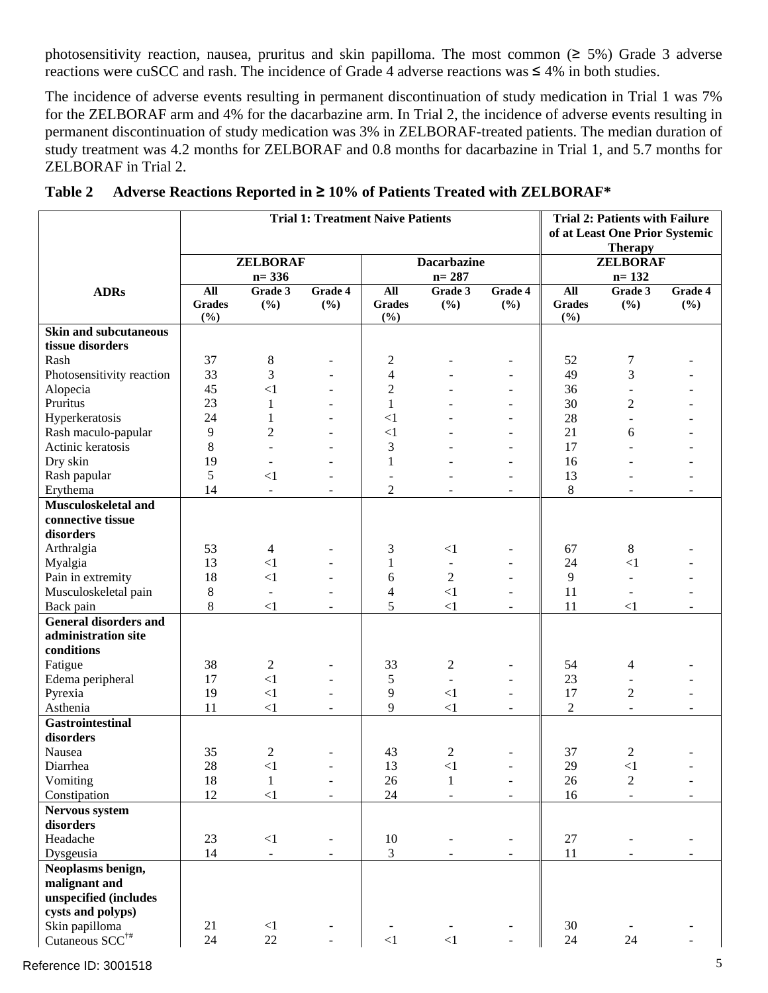photosensitivity reaction, nausea, pruritus and skin papilloma. The most common (≥ 5%) Grade 3 adverse reactions were cuSCC and rash. The incidence of Grade 4 adverse reactions was ≤ 4% in both studies.

The incidence of adverse events resulting in permanent discontinuation of study medication in Trial 1 was 7% for the ZELBORAF arm and 4% for the dacarbazine arm. In Trial 2, the incidence of adverse events resulting in permanent discontinuation of study medication was 3% in ZELBORAF-treated patients. The median duration of study treatment was 4.2 months for ZELBORAF and 0.8 months for dacarbazine in Trial 1, and 5.7 months for ZELBORAF in Trial 2.

<span id="page-4-0"></span>

|                              | <b>Trial 1: Treatment Naive Patients</b> |                          |                          |                          | <b>Trial 2: Patients with Failure</b><br>of at Least One Prior Systemic |                          |                |                          |         |
|------------------------------|------------------------------------------|--------------------------|--------------------------|--------------------------|-------------------------------------------------------------------------|--------------------------|----------------|--------------------------|---------|
|                              |                                          |                          |                          | <b>Therapy</b>           |                                                                         |                          |                |                          |         |
|                              | <b>ZELBORAF</b>                          |                          | <b>Dacarbazine</b>       |                          |                                                                         | <b>ZELBORAF</b>          |                |                          |         |
|                              |                                          | $n = 336$                |                          |                          | $n = 287$                                                               |                          |                | $n = 132$                |         |
| <b>ADRs</b>                  | All                                      | Grade 3                  | Grade 4                  | $\mathbf{All}$           | Grade 3                                                                 | Grade 4                  | All            | Grade 3                  | Grade 4 |
|                              | <b>Grades</b>                            | (%)                      | (%)                      | <b>Grades</b>            | (%)                                                                     | (%)                      | <b>Grades</b>  | (%)                      | (%)     |
|                              | (%)                                      |                          |                          | (%)                      |                                                                         |                          | (%)            |                          |         |
| <b>Skin and subcutaneous</b> |                                          |                          |                          |                          |                                                                         |                          |                |                          |         |
| tissue disorders             |                                          |                          |                          |                          |                                                                         |                          |                |                          |         |
| Rash                         | 37                                       | $8\,$                    |                          | 2                        |                                                                         | $\overline{\phantom{a}}$ | 52             | 7                        |         |
| Photosensitivity reaction    | 33                                       | 3                        |                          | $\overline{\mathcal{L}}$ |                                                                         |                          | 49             | 3                        |         |
| Alopecia                     | 45                                       | <1                       |                          | $\overline{c}$           |                                                                         |                          | 36             |                          |         |
| Pruritus                     | 23                                       | 1                        |                          | $\mathbf{1}$             |                                                                         |                          | 30             | $\overline{c}$           |         |
| Hyperkeratosis               | 24                                       | 1                        |                          | $\leq$ 1                 |                                                                         |                          | 28             |                          |         |
| Rash maculo-papular          | 9                                        | $\overline{2}$           |                          | $\leq$ 1                 |                                                                         |                          | 21             | 6                        |         |
| Actinic keratosis            | 8                                        | L.                       | $\overline{a}$           | 3                        |                                                                         | $\overline{\phantom{a}}$ | 17             |                          |         |
| Dry skin                     | 19                                       |                          |                          | $\mathbf{1}$             |                                                                         | $\sim$                   | 16             |                          |         |
| Rash papular                 | 5                                        | <1                       |                          |                          |                                                                         | $\overline{\phantom{a}}$ | 13             |                          |         |
| Erythema                     | 14                                       | $\blacksquare$           |                          | $\overline{c}$           |                                                                         |                          | 8              |                          |         |
| Musculoskeletal and          |                                          |                          |                          |                          |                                                                         |                          |                |                          |         |
| connective tissue            |                                          |                          |                          |                          |                                                                         |                          |                |                          |         |
| disorders                    |                                          |                          |                          |                          |                                                                         |                          |                |                          |         |
| Arthralgia                   | 53                                       | 4                        |                          | 3                        | $\leq$ 1                                                                |                          | 67             | 8                        |         |
| Myalgia                      | 13                                       | $\leq$ 1                 |                          | 1                        | $\blacksquare$                                                          |                          | 24             | $\leq$ 1                 |         |
| Pain in extremity            | 18                                       | $\leq$ 1                 |                          | 6                        | $\overline{2}$                                                          |                          | 9              | $\overline{\phantom{a}}$ |         |
| Musculoskeletal pain         | 8                                        | $\blacksquare$           |                          | $\overline{4}$           | $\leq$ 1                                                                |                          | 11             | $\overline{\phantom{a}}$ |         |
| Back pain                    | 8                                        | $\leq$ 1                 |                          | 5                        | <1                                                                      |                          | 11             | $\leq$ 1                 |         |
| <b>General disorders and</b> |                                          |                          |                          |                          |                                                                         |                          |                |                          |         |
| administration site          |                                          |                          |                          |                          |                                                                         |                          |                |                          |         |
| conditions                   |                                          |                          |                          |                          |                                                                         |                          |                |                          |         |
| Fatigue                      | 38                                       | $\overline{c}$           |                          | 33                       | $\overline{c}$                                                          |                          | 54             | $\overline{4}$           |         |
| Edema peripheral             | 17                                       | $\leq$ 1                 |                          | 5                        | $\mathbf{r}$                                                            |                          | 23             |                          |         |
| Pyrexia                      | 19                                       | $\leq$ 1                 |                          | 9                        | $\leq$ 1                                                                | $\overline{\phantom{a}}$ | 17             | $\mathfrak{2}$           |         |
| Asthenia                     | 11                                       | <1                       | $\sim$                   | 9                        | <1                                                                      | $\sim$                   | $\overline{2}$ | $\blacksquare$           | ÷.      |
| <b>Gastrointestinal</b>      |                                          |                          |                          |                          |                                                                         |                          |                |                          |         |
| disorders                    |                                          |                          |                          |                          |                                                                         |                          |                |                          |         |
| Nausea                       | 35                                       | $\overline{2}$           |                          | 43                       | 2                                                                       |                          | 37             | $\mathfrak{2}$           |         |
| Diarrhea                     | 28                                       | $\leq$ 1                 |                          | 13                       | $\leq$ 1                                                                |                          | 29             | $\leq$ 1                 |         |
| Vomiting                     | 18                                       | $\mathbf{1}$             |                          | 26                       | $\mathbf{1}$                                                            | $\overline{\phantom{a}}$ | 26             | $\sqrt{2}$               |         |
| Constipation                 | 12                                       | $<1\,$                   | $\overline{\phantom{a}}$ | 24                       |                                                                         | $\overline{\phantom{a}}$ | 16             | $\overline{\phantom{a}}$ |         |
| Nervous system               |                                          |                          |                          |                          |                                                                         |                          |                |                          |         |
| disorders                    |                                          |                          |                          |                          |                                                                         |                          |                |                          |         |
| Headache                     | 23                                       | ${<}1\,$                 |                          | 10                       |                                                                         |                          | $27\,$         |                          |         |
| Dysgeusia                    | 14                                       | $\overline{\phantom{a}}$ |                          | 3                        |                                                                         |                          | $11\,$         |                          |         |
| Neoplasms benign,            |                                          |                          |                          |                          |                                                                         |                          |                |                          |         |
| malignant and                |                                          |                          |                          |                          |                                                                         |                          |                |                          |         |
| unspecified (includes        |                                          |                          |                          |                          |                                                                         |                          |                |                          |         |
| cysts and polyps)            |                                          |                          |                          |                          |                                                                         |                          |                |                          |         |
| Skin papilloma               | 21<br>24                                 | $<1\,$<br>22             |                          |                          | ${<}1$                                                                  |                          | 30             | 24                       |         |
| Cutaneous $SCC^{\dagger\#}$  |                                          |                          |                          | ${<}1$                   |                                                                         |                          | 24             |                          |         |

**Table 2 Adverse Reactions Reported in ≥ 10% of Patients Treated with ZELBORAF\***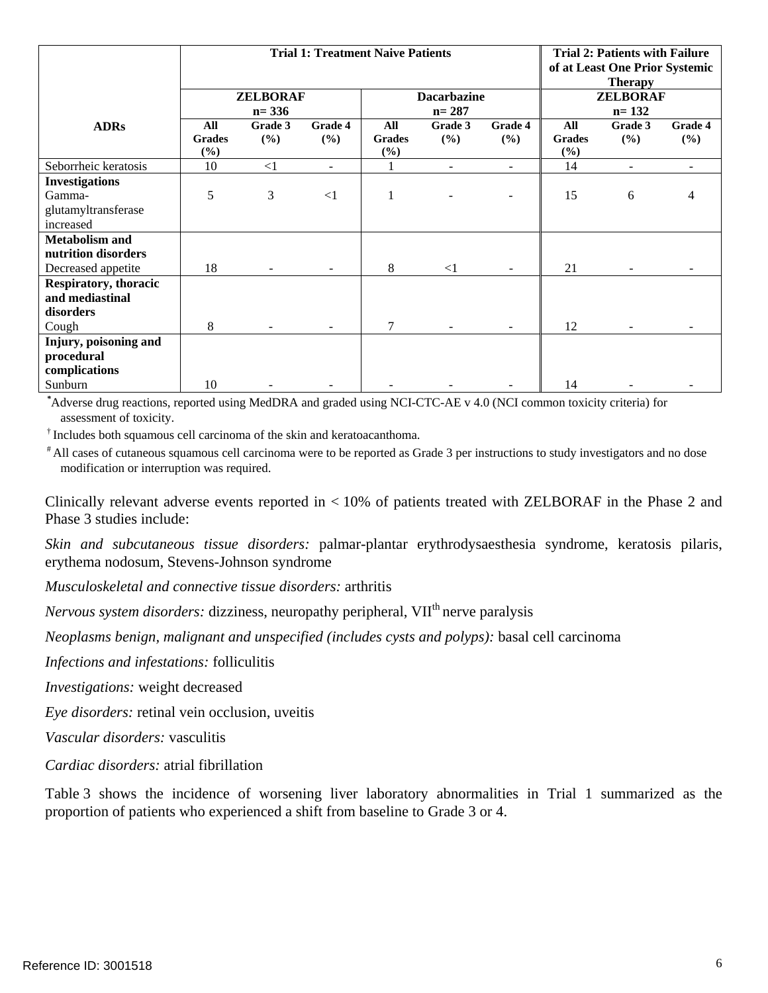|                              | <b>Trial 1: Treatment Naive Patients</b> |           |          |                    | <b>Trial 2: Patients with Failure</b><br>of at Least One Prior Systemic<br><b>Therapy</b> |                |                 |                          |         |
|------------------------------|------------------------------------------|-----------|----------|--------------------|-------------------------------------------------------------------------------------------|----------------|-----------------|--------------------------|---------|
|                              | <b>ZELBORAF</b>                          |           |          | <b>Dacarbazine</b> |                                                                                           |                | <b>ZELBORAF</b> |                          |         |
|                              |                                          | $n = 336$ |          |                    | $n = 287$                                                                                 |                |                 | $n = 132$                |         |
| <b>ADRs</b>                  | All                                      | Grade 3   | Grade 4  | All                | Grade 3                                                                                   | Grade 4        | All             | Grade 3                  | Grade 4 |
|                              | <b>Grades</b>                            | (%)       | (%)      | <b>Grades</b>      | (%)                                                                                       | (%)            | <b>Grades</b>   | (%)                      | $(\%)$  |
|                              | (%)                                      |           |          | $(\%)$             |                                                                                           |                | (%)             |                          |         |
| Seborrheic keratosis         | 10                                       | $\leq$ 1  | ٠        | 1                  | $\overline{a}$                                                                            | $\overline{a}$ | 14              | $\overline{\phantom{a}}$ |         |
| <b>Investigations</b>        |                                          |           |          |                    |                                                                                           |                |                 |                          |         |
| Gamma-                       | 5                                        | 3         | $\leq$ 1 | 1                  |                                                                                           |                | 15              | 6                        | 4       |
| glutamyltransferase          |                                          |           |          |                    |                                                                                           |                |                 |                          |         |
| increased                    |                                          |           |          |                    |                                                                                           |                |                 |                          |         |
| <b>Metabolism and</b>        |                                          |           |          |                    |                                                                                           |                |                 |                          |         |
| nutrition disorders          |                                          |           |          |                    |                                                                                           |                |                 |                          |         |
| Decreased appetite           | 18                                       |           |          | 8                  | $\leq$ 1                                                                                  |                | 21              |                          |         |
| <b>Respiratory, thoracic</b> |                                          |           |          |                    |                                                                                           |                |                 |                          |         |
| and mediastinal              |                                          |           |          |                    |                                                                                           |                |                 |                          |         |
| disorders                    |                                          |           |          |                    |                                                                                           |                |                 |                          |         |
| Cough                        | 8                                        |           |          | 7                  |                                                                                           |                | 12              |                          |         |
| Injury, poisoning and        |                                          |           |          |                    |                                                                                           |                |                 |                          |         |
| procedural                   |                                          |           |          |                    |                                                                                           |                |                 |                          |         |
| complications                |                                          |           |          |                    |                                                                                           |                |                 |                          |         |
| Sunburn                      | 10                                       |           |          |                    |                                                                                           |                | 14              |                          |         |

 *\** Adverse drug reactions, reported using MedDRA and graded using NCI-CTC-AE v 4.0 (NCI common toxicity criteria) for assessment of toxicity.

<sup>†</sup> Includes both squamous cell carcinoma of the skin and keratoacanthoma.<br><sup>#</sup> All cases of cutaneous squamous cell carcinoma were to be reported as Grade 3 per instructions to study investigators and no dose modification or interruption was required.

Clinically relevant adverse events reported in < 10% of patients treated with ZELBORAF in the Phase 2 and Phase 3 studies include:

*Skin and subcutaneous tissue disorders:* palmar-plantar erythrodysaesthesia syndrome, keratosis pilaris, erythema nodosum, Stevens-Johnson syndrome

*Musculoskeletal and connective tissue disorders:* arthritis

*Nervous system disorders:* dizziness, neuropathy peripheral, VII<sup>th</sup> nerve paralysis

*Neoplasms benign, malignant and unspecified (includes cysts and polyps):* basal cell carcinoma

*Infections and infestations:* folliculitis

*Investigations:* weight decreased

*Eye disorders:* retinal vein occlusion, uveitis

*Vascular disorders:* vasculitis

*Cardiac disorders:* atrial fibrillation

[Table 3](#page-6-1) shows the incidence of worsening liver laboratory abnormalities in Trial 1 summarized as the proportion of patients who experienced a shift from baseline to Grade 3 or 4.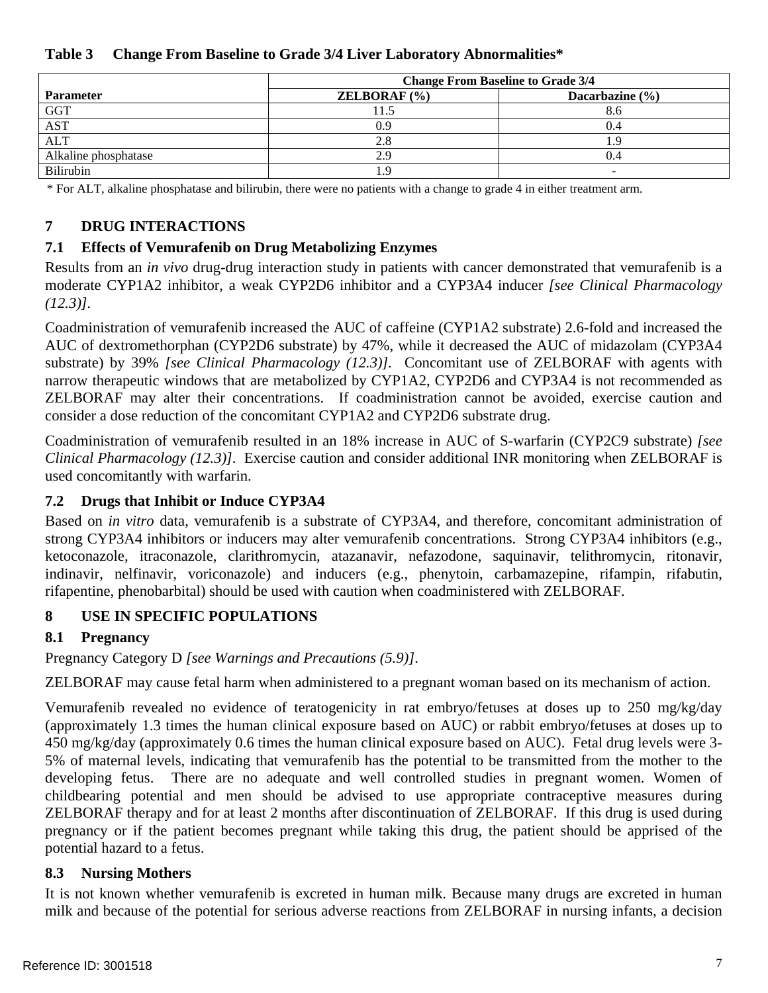<span id="page-6-1"></span><span id="page-6-0"></span>

| Table 3 Change From Baseline to Grade 3/4 Liver Laboratory Abnormalities* |  |
|---------------------------------------------------------------------------|--|
|---------------------------------------------------------------------------|--|

|                      | <b>Change From Baseline to Grade 3/4</b> |                     |  |  |
|----------------------|------------------------------------------|---------------------|--|--|
| <b>Parameter</b>     | <b>ZELBORAF</b> $(\% )$                  | Dacarbazine $(\% )$ |  |  |
| <b>GGT</b>           |                                          | 8.6                 |  |  |
| <b>AST</b>           | 0.9 <sup>°</sup>                         | 0.4                 |  |  |
| <b>ALT</b>           | 2.8                                      |                     |  |  |
| Alkaline phosphatase | 2.9                                      | 0.4                 |  |  |
| Bilirubin            |                                          |                     |  |  |

\* For ALT, alkaline phosphatase and bilirubin, there were no patients with a change to grade 4 in either treatment arm.

#### **7 DRUG INTERACTIONS**

#### **7.1 Effects of Vemurafenib on Drug Metabolizing Enzymes**

Results from an *in vivo* drug-drug interaction study in patients with cancer demonstrated that vemurafenib is a moderate CYP1A2 inhibitor, a weak CYP2D6 inhibitor and a CYP3A4 inducer *[see Clinical Pharmacology ([12.3](#page-8-0))].* 

Coadministration of vemurafenib increased the AUC of caffeine (CYP1A2 substrate) 2.6-fold and increased the AUC of dextromethorphan (CYP2D6 substrate) by 47%, while it decreased the AUC of midazolam (CYP3A4 substrate) by 39% *[see Clinical Pharmacology [\(12.3](#page-8-0))].* Concomitant use of ZELBORAF with agents with narrow therapeutic windows that are metabolized by CYP1A2, CYP2D6 and CYP3A4 is not recommended as ZELBORAF may alter their concentrations. If coadministration cannot be avoided, exercise caution and consider a dose reduction of the concomitant CYP1A2 and CYP2D6 substrate drug.

Coadministration of vemurafenib resulted in an 18% increase in AUC of S-warfarin (CYP2C9 substrate) *[see Clinical Pharmacology ([12.3\)](#page-8-0)].* Exercise caution and consider additional INR monitoring when ZELBORAF is used concomitantly with warfarin.

#### **7.2 Drugs that Inhibit or Induce CYP3A4**

Based on *in vitro* data, vemurafenib is a substrate of CYP3A4, and therefore, concomitant administration of strong CYP3A4 inhibitors or inducers may alter vemurafenib concentrations. Strong CYP3A4 inhibitors (e.g., ketoconazole, itraconazole, clarithromycin, atazanavir, nefazodone, saquinavir, telithromycin, ritonavir, indinavir, nelfinavir, voriconazole) and inducers (e.g., phenytoin, carbamazepine, rifampin, rifabutin, rifapentine, phenobarbital) should be used with caution when coadministered with ZELBORAF.

#### **8 USE IN SPECIFIC POPULATIONS**

## **8.1 Pregnancy**

Pregnancy Category D *[see Warnings and Precautions [\(5.9\)](#page-3-0)]*.

ZELBORAF may cause fetal harm when administered to a pregnant woman based on its mechanism of action.

Vemurafenib revealed no evidence of teratogenicity in rat embryo/fetuses at doses up to 250 mg/kg/day (approximately 1.3 times the human clinical exposure based on AUC) or rabbit embryo/fetuses at doses up to 450 mg/kg/day (approximately 0.6 times the human clinical exposure based on AUC). Fetal drug levels were 3 5% of maternal levels, indicating that vemurafenib has the potential to be transmitted from the mother to the developing fetus. There are no adequate and well controlled studies in pregnant women. Women of childbearing potential and men should be advised to use appropriate contraceptive measures during ZELBORAF therapy and for at least 2 months after discontinuation of ZELBORAF. If this drug is used during pregnancy or if the patient becomes pregnant while taking this drug, the patient should be apprised of the potential hazard to a fetus.

#### **8.3 Nursing Mothers**

It is not known whether vemurafenib is excreted in human milk. Because many drugs are excreted in human milk and because of the potential for serious adverse reactions from ZELBORAF in nursing infants, a decision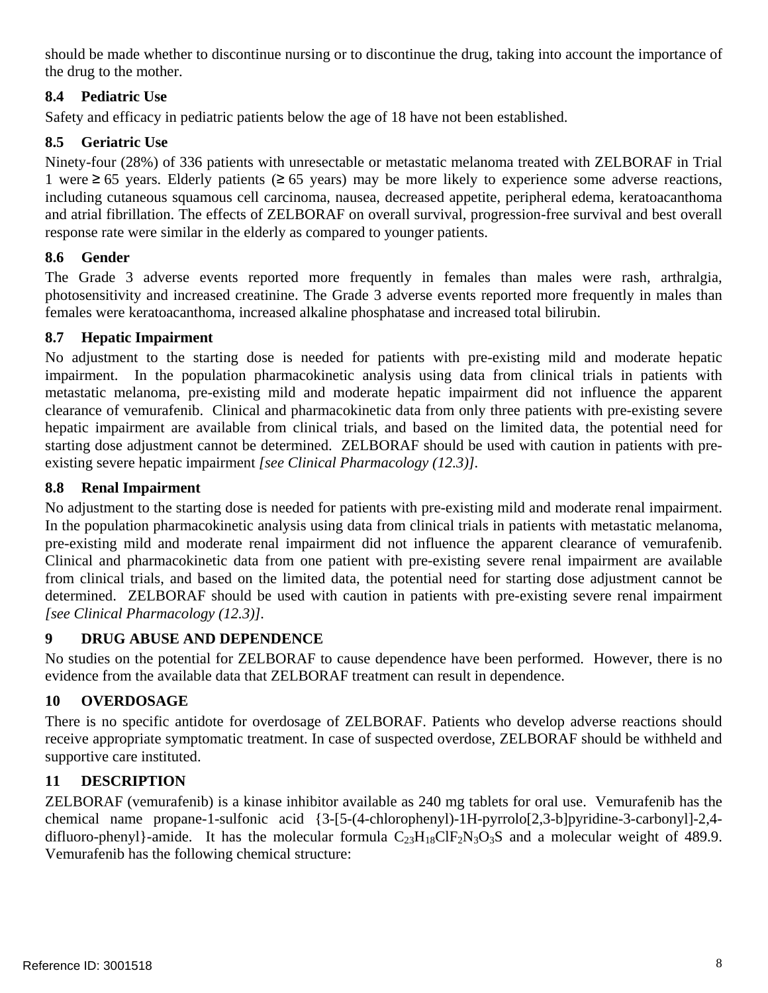<span id="page-7-0"></span>should be made whether to discontinue nursing or to discontinue the drug, taking into account the importance of the drug to the mother.

## **8.4 Pediatric Use**

Safety and efficacy in pediatric patients below the age of 18 have not been established.

## **8.5 Geriatric Use**

Ninety-four (28%) of 336 patients with unresectable or metastatic melanoma treated with ZELBORAF in Trial 1 were ≥ 65 years. Elderly patients (≥ 65 years) may be more likely to experience some adverse reactions, including cutaneous squamous cell carcinoma, nausea, decreased appetite, peripheral edema, keratoacanthoma and atrial fibrillation. The effects of ZELBORAF on overall survival, progression-free survival and best overall response rate were similar in the elderly as compared to younger patients.

## **8.6 Gender**

The Grade 3 adverse events reported more frequently in females than males were rash, arthralgia, photosensitivity and increased creatinine. The Grade 3 adverse events reported more frequently in males than females were keratoacanthoma, increased alkaline phosphatase and increased total bilirubin.

## **8.7 Hepatic Impairment**

No adjustment to the starting dose is needed for patients with pre-existing mild and moderate hepatic impairment. In the population pharmacokinetic analysis using data from clinical trials in patients with metastatic melanoma, pre-existing mild and moderate hepatic impairment did not influence the apparent clearance of vemurafenib. Clinical and pharmacokinetic data from only three patients with pre-existing severe hepatic impairment are available from clinical trials, and based on the limited data, the potential need for starting dose adjustment cannot be determined. ZELBORAF should be used with caution in patients with preexisting severe hepatic impairment *[see Clinical Pharmacology ([12.3\)](#page-8-0)].* 

## **8.8 Renal Impairment**

No adjustment to the starting dose is needed for patients with pre-existing mild and moderate renal impairment. In the population pharmacokinetic analysis using data from clinical trials in patients with metastatic melanoma, pre-existing mild and moderate renal impairment did not influence the apparent clearance of vemurafenib. Clinical and pharmacokinetic data from one patient with pre-existing severe renal impairment are available from clinical trials, and based on the limited data, the potential need for starting dose adjustment cannot be determined. ZELBORAF should be used with caution in patients with pre-existing severe renal impairment *[see Clinical Pharmacology [\(12.3](#page-8-0))].* 

# **9 DRUG ABUSE AND DEPENDENCE**

No studies on the potential for ZELBORAF to cause dependence have been performed. However, there is no evidence from the available data that ZELBORAF treatment can result in dependence.

# **10 OVERDOSAGE**

There is no specific antidote for overdosage of ZELBORAF. Patients who develop adverse reactions should receive appropriate symptomatic treatment. In case of suspected overdose, ZELBORAF should be withheld and supportive care instituted.

## **11 DESCRIPTION**

ZELBORAF (vemurafenib) is a kinase inhibitor available as 240 mg tablets for oral use. Vemurafenib has the chemical name propane-1-sulfonic acid {3-[5-(4-chlorophenyl)-1H-pyrrolo[2,3-b]pyridine-3-carbonyl]-2,4 difluoro-phenyl}-amide. It has the molecular formula  $C_{23}H_{18}CIF_2N_3O_3S$  and a molecular weight of 489.9. Vemurafenib has the following chemical structure: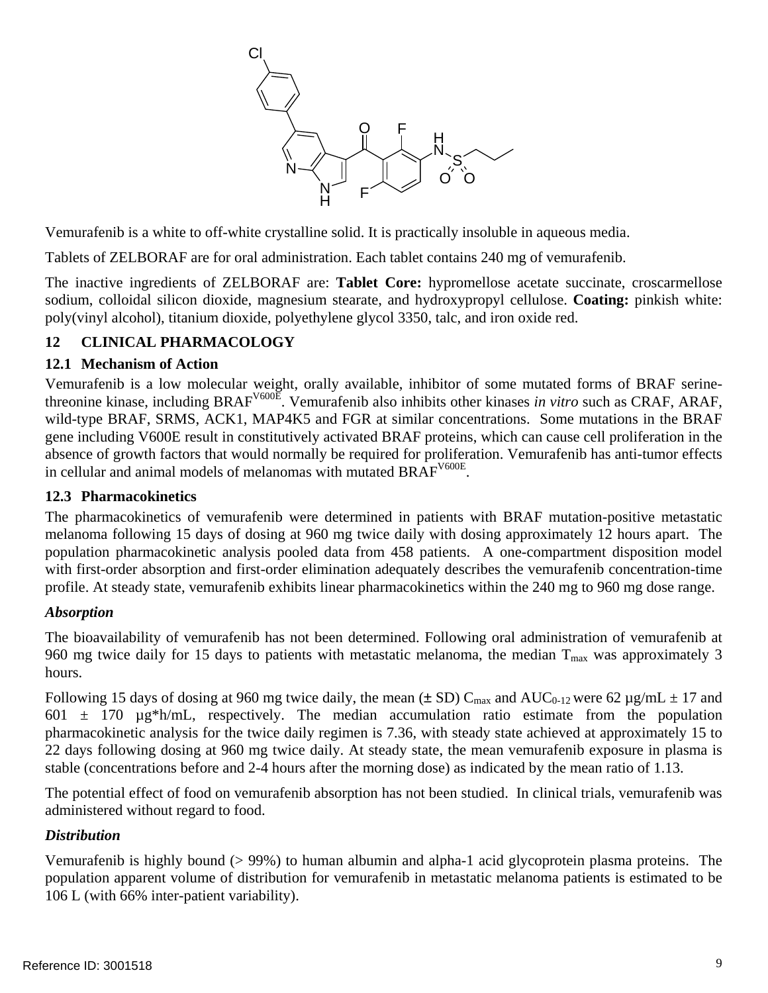

<span id="page-8-0"></span>Vemurafenib is a white to off-white crystalline solid. It is practically insoluble in aqueous media.

Tablets of ZELBORAF are for oral administration. Each tablet contains 240 mg of vemurafenib.

The inactive ingredients of ZELBORAF are: **Tablet Core:** hypromellose acetate succinate, croscarmellose sodium, colloidal silicon dioxide, magnesium stearate, and hydroxypropyl cellulose. **Coating:** pinkish white: poly(vinyl alcohol), titanium dioxide, polyethylene glycol 3350, talc, and iron oxide red.

## **12 CLINICAL PHARMACOLOGY**

#### **12.1 Mechanism of Action**

Vemurafenib is a low molecular weight, orally available, inhibitor of some mutated forms of BRAF serinethreonine kinase, including BRAFV600E. Vemurafenib also inhibits other kinases *in vitro* such as CRAF, ARAF, wild-type BRAF, SRMS, ACK1, MAP4K5 and FGR at similar concentrations. Some mutations in the BRAF gene including V600E result in constitutively activated BRAF proteins, which can cause cell proliferation in the absence of growth factors that would normally be required for proliferation. Vemurafenib has anti-tumor effects in cellular and animal models of melanomas with mutated BRAFV600E.

#### **12.3 Pharmacokinetics**

The pharmacokinetics of vemurafenib were determined in patients with BRAF mutation-positive metastatic melanoma following 15 days of dosing at 960 mg twice daily with dosing approximately 12 hours apart. The population pharmacokinetic analysis pooled data from 458 patients. A one-compartment disposition model with first-order absorption and first-order elimination adequately describes the vemurafenib concentration-time profile. At steady state, vemurafenib exhibits linear pharmacokinetics within the 240 mg to 960 mg dose range.

#### *Absorption*

The bioavailability of vemurafenib has not been determined. Following oral administration of vemurafenib at 960 mg twice daily for 15 days to patients with metastatic melanoma, the median  $T_{\text{max}}$  was approximately 3 hours.

Following 15 days of dosing at 960 mg twice daily, the mean ( $\pm$  SD) C<sub>max</sub> and AUC<sub>0-12</sub> were 62 µg/mL  $\pm$  17 and 601  $\pm$  170  $\mu$ g\*h/mL, respectively. The median accumulation ratio estimate from the population pharmacokinetic analysis for the twice daily regimen is 7.36, with steady state achieved at approximately 15 to 22 days following dosing at 960 mg twice daily. At steady state, the mean vemurafenib exposure in plasma is stable (concentrations before and 2-4 hours after the morning dose) as indicated by the mean ratio of 1.13.

The potential effect of food on vemurafenib absorption has not been studied. In clinical trials, vemurafenib was administered without regard to food.

#### *Distribution*

Vemurafenib is highly bound (> 99%) to human albumin and alpha-1 acid glycoprotein plasma proteins. The population apparent volume of distribution for vemurafenib in metastatic melanoma patients is estimated to be 106 L (with 66% inter-patient variability).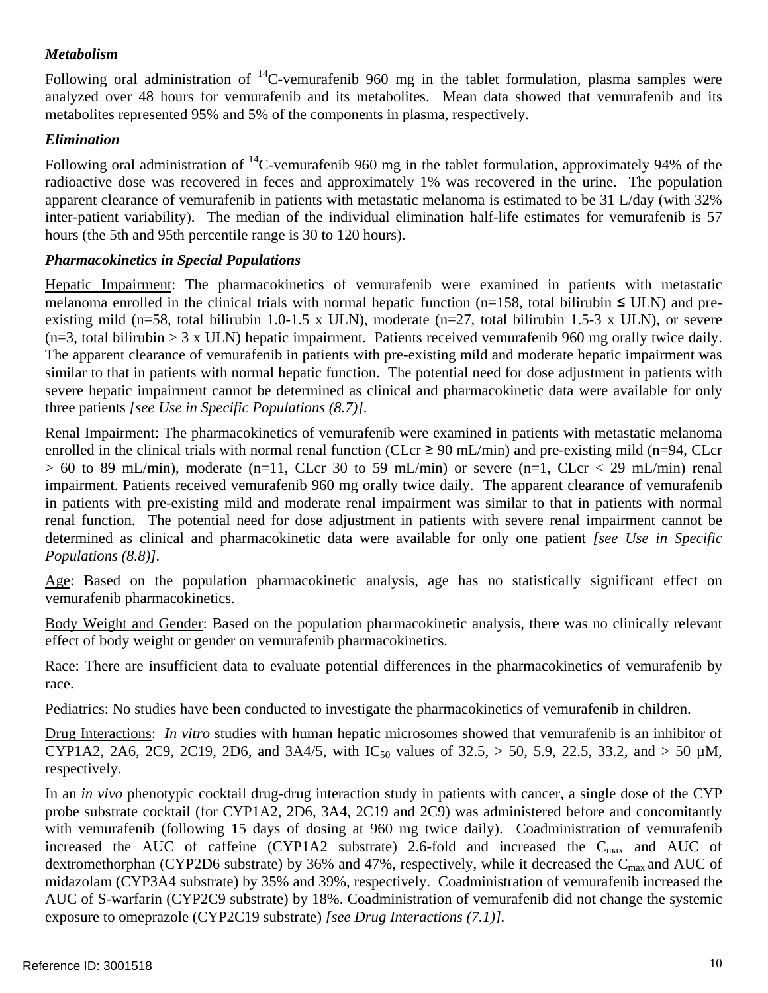## *Metabolism*

Following oral administration of  ${}^{14}$ C-vemurafenib 960 mg in the tablet formulation, plasma samples were analyzed over 48 hours for vemurafenib and its metabolites. Mean data showed that vemurafenib and its metabolites represented 95% and 5% of the components in plasma, respectively.

## *Elimination*

Following oral administration of  $^{14}$ C-vemurafenib 960 mg in the tablet formulation, approximately 94% of the radioactive dose was recovered in feces and approximately 1% was recovered in the urine. The population apparent clearance of vemurafenib in patients with metastatic melanoma is estimated to be 31 L/day (with 32% inter-patient variability). The median of the individual elimination half-life estimates for vemurafenib is 57 hours (the 5th and 95th percentile range is 30 to 120 hours).

## *Pharmacokinetics in Special Populations*

Hepatic Impairment: The pharmacokinetics of vemurafenib were examined in patients with metastatic melanoma enrolled in the clinical trials with normal hepatic function (n=158, total bilirubin  $\leq$  ULN) and preexisting mild (n=58, total bilirubin 1.0-1.5 x ULN), moderate (n=27, total bilirubin 1.5-3 x ULN), or severe  $(n=3, \text{ total bilirubin} > 3 \text{ x ULN})$  hepatic impairment. Patients received vemurafenib 960 mg orally twice daily. The apparent clearance of vemurafenib in patients with pre-existing mild and moderate hepatic impairment was similar to that in patients with normal hepatic function. The potential need for dose adjustment in patients with severe hepatic impairment cannot be determined as clinical and pharmacokinetic data were available for only three patients *[see Use in Specific Populations [\(8.7](#page-7-0))].* 

Renal Impairment: The pharmacokinetics of vemurafenib were examined in patients with metastatic melanoma enrolled in the clinical trials with normal renal function (CLcr  $\geq$  90 mL/min) and pre-existing mild (n=94, CLcr  $> 60$  to 89 mL/min), moderate (n=11, CLcr 30 to 59 mL/min) or severe (n=1, CLcr < 29 mL/min) renal impairment. Patients received vemurafenib 960 mg orally twice daily. The apparent clearance of vemurafenib in patients with pre-existing mild and moderate renal impairment was similar to that in patients with normal renal function. The potential need for dose adjustment in patients with severe renal impairment cannot be determined as clinical and pharmacokinetic data were available for only one patient *[see Use in Specific Populations ([8.8](#page-7-0))].* 

Age: Based on the population pharmacokinetic analysis, age has no statistically significant effect on vemurafenib pharmacokinetics.

Body Weight and Gender: Based on the population pharmacokinetic analysis, there was no clinically relevant effect of body weight or gender on vemurafenib pharmacokinetics.

Race: There are insufficient data to evaluate potential differences in the pharmacokinetics of vemurafenib by race.

Pediatrics: No studies have been conducted to investigate the pharmacokinetics of vemurafenib in children.

Drug Interactions: *In vitro* studies with human hepatic microsomes showed that vemurafenib is an inhibitor of CYP1A2, 2A6, 2C9, 2C19, 2D6, and 3A4/5, with  $IC_{50}$  values of 32.5, > 50, 5.9, 22.5, 33.2, and > 50 µM, respectively.

In an *in vivo* phenotypic cocktail drug-drug interaction study in patients with cancer, a single dose of the CYP probe substrate cocktail (for CYP1A2, 2D6, 3A4, 2C19 and 2C9) was administered before and concomitantly with vemurafenib (following 15 days of dosing at 960 mg twice daily). Coadministration of vemurafenib increased the AUC of caffeine (CYP1A2 substrate) 2.6-fold and increased the  $C_{\text{max}}$  and AUC of dextromethorphan (CYP2D6 substrate) by 36% and 47%, respectively, while it decreased the  $C_{\text{max}}$  and AUC of midazolam (CYP3A4 substrate) by 35% and 39%, respectively. Coadministration of vemurafenib increased the AUC of S-warfarin (CYP2C9 substrate) by 18%. Coadministration of vemurafenib did not change the systemic exposure to omeprazole (CYP2C19 substrate) *[see Drug Interactions [\(7.1](#page-6-0))].*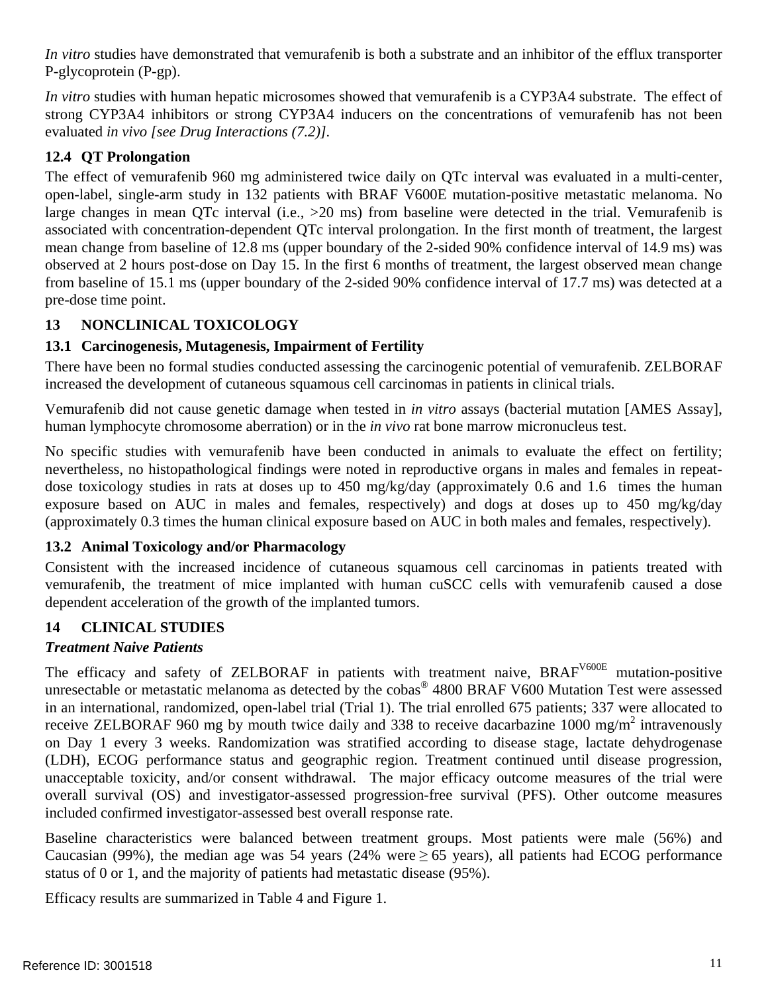<span id="page-10-0"></span>*In vitro* studies have demonstrated that vemurafenib is both a substrate and an inhibitor of the efflux transporter P-glycoprotein (P-gp).

*In vitro* studies with human hepatic microsomes showed that vemurafenib is a CYP3A4 substrate. The effect of strong CYP3A4 inhibitors or strong CYP3A4 inducers on the concentrations of vemurafenib has not been evaluated *in vivo [see Drug Interactions ([7.2\)](#page-6-0)].* 

## **12.4 QT Prolongation**

The effect of vemurafenib 960 mg administered twice daily on QTc interval was evaluated in a multi-center, open-label, single-arm study in 132 patients with BRAF V600E mutation-positive metastatic melanoma. No large changes in mean QTc interval (i.e., >20 ms) from baseline were detected in the trial. Vemurafenib is associated with concentration-dependent QTc interval prolongation. In the first month of treatment, the largest mean change from baseline of 12.8 ms (upper boundary of the 2-sided 90% confidence interval of 14.9 ms) was observed at 2 hours post-dose on Day 15. In the first 6 months of treatment, the largest observed mean change from baseline of 15.1 ms (upper boundary of the 2-sided 90% confidence interval of 17.7 ms) was detected at a pre-dose time point.

# **13 NONCLINICAL TOXICOLOGY**

## **13.1 Carcinogenesis, Mutagenesis, Impairment of Fertility**

There have been no formal studies conducted assessing the carcinogenic potential of vemurafenib. ZELBORAF increased the development of cutaneous squamous cell carcinomas in patients in clinical trials.

Vemurafenib did not cause genetic damage when tested in *in vitro* assays (bacterial mutation [AMES Assay], human lymphocyte chromosome aberration) or in the *in vivo* rat bone marrow micronucleus test.

No specific studies with vemurafenib have been conducted in animals to evaluate the effect on fertility; nevertheless, no histopathological findings were noted in reproductive organs in males and females in repeatdose toxicology studies in rats at doses up to 450 mg/kg/day (approximately 0.6 and 1.6 times the human exposure based on AUC in males and females, respectively) and dogs at doses up to 450 mg/kg/day (approximately 0.3 times the human clinical exposure based on AUC in both males and females, respectively).

## **13.2 Animal Toxicology and/or Pharmacology**

Consistent with the increased incidence of cutaneous squamous cell carcinomas in patients treated with vemurafenib, the treatment of mice implanted with human cuSCC cells with vemurafenib caused a dose dependent acceleration of the growth of the implanted tumors.

# **14 CLINICAL STUDIES**

# *Treatment Naive Patients*

The efficacy and safety of ZELBORAF in patients with treatment naive, BRAF<sup>V600E</sup> mutation-positive unresectable or metastatic melanoma as detected by the cobas<sup>®</sup> 4800 BRAF V600 Mutation Test were assessed in an international, randomized, open-label trial (Trial 1). The trial enrolled 675 patients; 337 were allocated to receive ZELBORAF 960 mg by mouth twice daily and 338 to receive dacarbazine 1000 mg/m<sup>2</sup> intravenously on Day 1 every 3 weeks. Randomization was stratified according to disease stage, lactate dehydrogenase (LDH), ECOG performance status and geographic region. Treatment continued until disease progression, unacceptable toxicity, and/or consent withdrawal. The major efficacy outcome measures of the trial were overall survival (OS) and investigator-assessed progression-free survival (PFS). Other outcome measures included confirmed investigator-assessed best overall response rate.

Baseline characteristics were balanced between treatment groups. Most patients were male (56%) and Caucasian (99%), the median age was 54 years (24% were  $\geq$  65 years), all patients had ECOG performance status of 0 or 1, and the majority of patients had metastatic disease (95%).

Efficacy results are summarized in [Table 4](#page-11-0) and [Figure 1.](#page-11-1)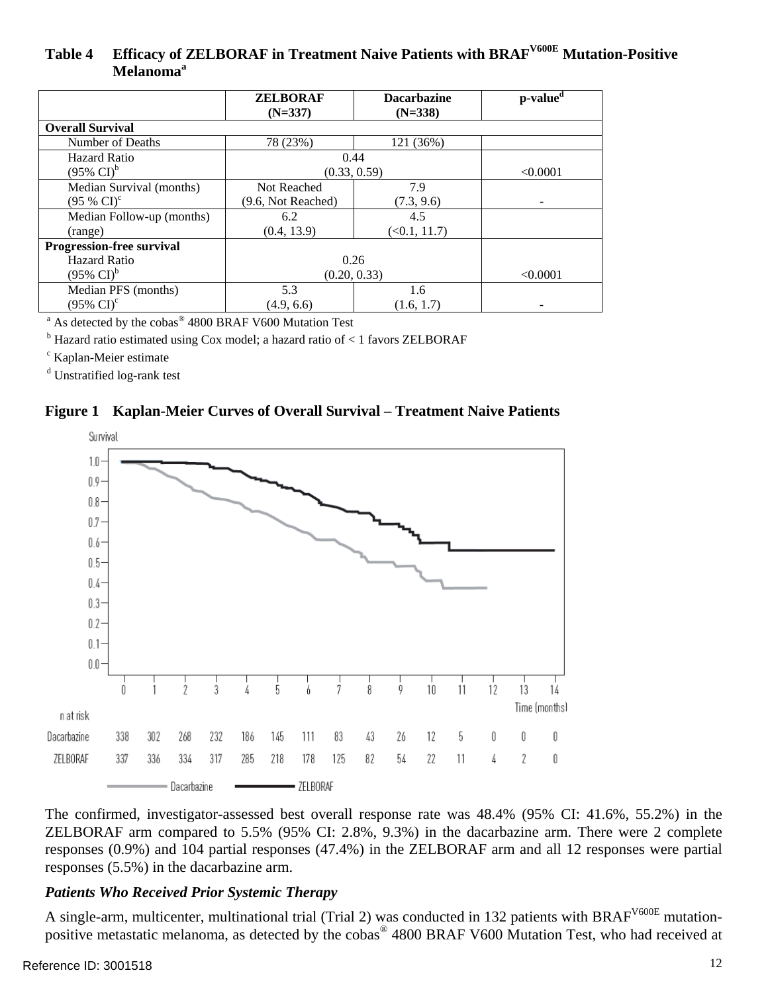## <span id="page-11-0"></span>Table 4 Efficacy of ZELBORAF in Treatment Naive Patients with BRAF<sup>V600E</sup> Mutation-Positive Melanoma<sup>a</sup>

|                                | <b>ZELBORAF</b><br>$(N=337)$ | <b>Dacarbazine</b><br>$(N=338)$ | p-value <sup>d</sup> |
|--------------------------------|------------------------------|---------------------------------|----------------------|
| <b>Overall Survival</b>        |                              |                                 |                      |
| Number of Deaths               | 78 (23%)                     | 121 (36%)                       |                      |
| Hazard Ratio                   | 0.44                         |                                 |                      |
| $(95\% \text{ CI})^{\text{b}}$ | (0.33, 0.59)                 |                                 | < 0.0001             |
| Median Survival (months)       | Not Reached                  | 7.9                             |                      |
| $(95\% \text{ CI})^c$          | (9.6, Not Reached)           | (7.3, 9.6)                      | -                    |
| Median Follow-up (months)      | 6.2                          | 4.5                             |                      |
| (range)                        | (0.4, 13.9)                  | $(\le 0.1, 11.7)$               |                      |
| Progression-free survival      |                              |                                 |                      |
| Hazard Ratio                   | 0.26                         |                                 |                      |
| $(95\% \text{ CI})^{\text{b}}$ | (0.20, 0.33)                 |                                 | < 0.0001             |
| Median PFS (months)            | 5.3                          | 1.6                             |                      |
| $(95\% \text{ CI})^{\circ}$    | (4.9, 6.6)                   | (1.6, 1.7)                      |                      |

<sup>a</sup> As detected by the cobas<sup>®</sup> 4800 BRAF V600 Mutation Test<br><sup>b</sup> Hegard ratio estimated using Cov model: a begand ratio of  $\leq$ 

 $<sup>b</sup>$  Hazard ratio estimated using Cox model; a hazard ratio of  $< 1$  favors ZELBORAF</sup>

c Kaplan-Meier estimate

<sup>d</sup> Unstratified log-rank test

#### <span id="page-11-1"></span>**Figure 1 Kaplan-Meier Curves of Overall Survival – Treatment Naive Patients**



The confirmed, investigator-assessed best overall response rate was 48.4% (95% CI: 41.6%, 55.2%) in the ZELBORAF arm compared to 5.5% (95% CI: 2.8%, 9.3%) in the dacarbazine arm. There were 2 complete responses (0.9%) and 104 partial responses (47.4%) in the ZELBORAF arm and all 12 responses were partial responses (5.5%) in the dacarbazine arm.

#### *Patients Who Received Prior Systemic Therapy*

A single-arm, multicenter, multinational trial (Trial 2) was conducted in 132 patients with BRAF<sup>V600E</sup> mutationpositive metastatic melanoma, as detected by the cobas® 4800 BRAF V600 Mutation Test, who had received at